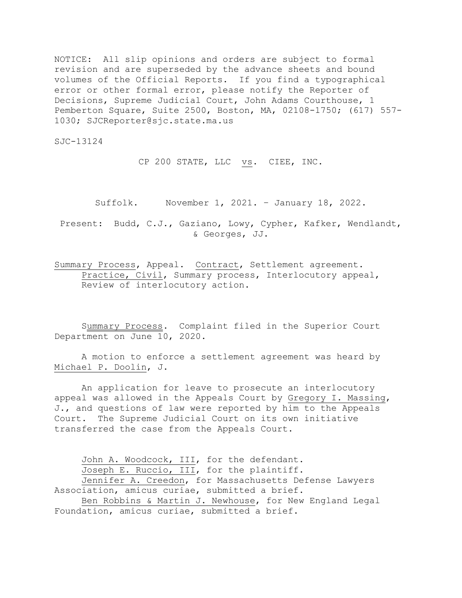NOTICE: All slip opinions and orders are subject to formal revision and are superseded by the advance sheets and bound volumes of the Official Reports. If you find a typographical error or other formal error, please notify the Reporter of Decisions, Supreme Judicial Court, John Adams Courthouse, 1 Pemberton Square, Suite 2500, Boston, MA, 02108-1750; (617) 557- 1030; SJCReporter@sjc.state.ma.us

SJC-13124

CP 200 STATE, LLC vs. CIEE, INC.

Suffolk. November 1, 2021. – January 18, 2022.

Present: Budd, C.J., Gaziano, Lowy, Cypher, Kafker, Wendlandt, & Georges, JJ.

Summary Process, Appeal. Contract, Settlement agreement. Practice, Civil, Summary process, Interlocutory appeal, Review of interlocutory action.

Summary Process. Complaint filed in the Superior Court Department on June 10, 2020.

A motion to enforce a settlement agreement was heard by Michael P. Doolin, J.

An application for leave to prosecute an interlocutory appeal was allowed in the Appeals Court by Gregory I. Massing, J., and questions of law were reported by him to the Appeals Court. The Supreme Judicial Court on its own initiative transferred the case from the Appeals Court.

John A. Woodcock, III, for the defendant. Joseph E. Ruccio, III, for the plaintiff. Jennifer A. Creedon, for Massachusetts Defense Lawyers Association, amicus curiae, submitted a brief. Ben Robbins & Martin J. Newhouse, for New England Legal Foundation, amicus curiae, submitted a brief.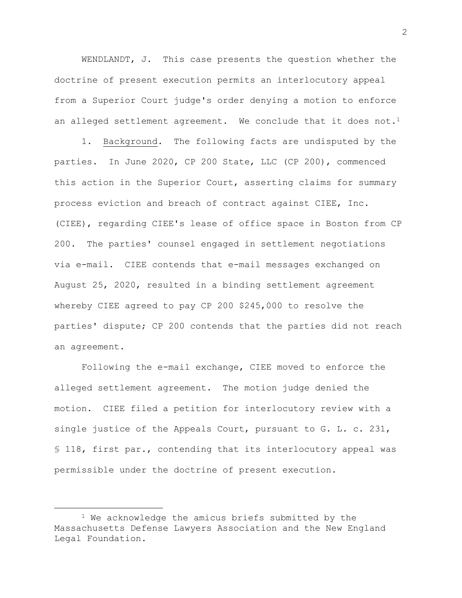WENDLANDT, J. This case presents the question whether the doctrine of present execution permits an interlocutory appeal from a Superior Court judge's order denying a motion to enforce an alleged settlement agreement. We conclude that it does not.<sup>1</sup>

1. Background. The following facts are undisputed by the parties. In June 2020, CP 200 State, LLC (CP 200), commenced this action in the Superior Court, asserting claims for summary process eviction and breach of contract against CIEE, Inc. (CIEE), regarding CIEE's lease of office space in Boston from CP 200. The parties' counsel engaged in settlement negotiations via e-mail. CIEE contends that e-mail messages exchanged on August 25, 2020, resulted in a binding settlement agreement whereby CIEE agreed to pay CP 200 \$245,000 to resolve the parties' dispute; CP 200 contends that the parties did not reach an agreement.

Following the e-mail exchange, CIEE moved to enforce the alleged settlement agreement. The motion judge denied the motion. CIEE filed a petition for interlocutory review with a single justice of the Appeals Court, pursuant to G. L. c. 231, § 118, first par., contending that its interlocutory appeal was permissible under the doctrine of present execution.

<sup>&</sup>lt;sup>1</sup> We acknowledge the amicus briefs submitted by the Massachusetts Defense Lawyers Association and the New England Legal Foundation.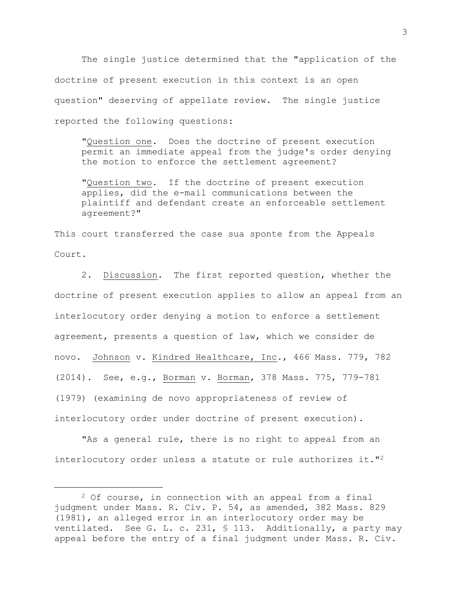The single justice determined that the "application of the doctrine of present execution in this context is an open question" deserving of appellate review. The single justice reported the following questions:

"Question one. Does the doctrine of present execution permit an immediate appeal from the judge's order denying the motion to enforce the settlement agreement?

"Question two. If the doctrine of present execution applies, did the e-mail communications between the plaintiff and defendant create an enforceable settlement agreement?"

This court transferred the case sua sponte from the Appeals Court.

2. Discussion. The first reported question, whether the doctrine of present execution applies to allow an appeal from an interlocutory order denying a motion to enforce a settlement agreement, presents a question of law, which we consider de novo. Johnson v. Kindred Healthcare, Inc., 466 Mass. 779, 782 (2014). See, e.g., Borman v. Borman, 378 Mass. 775, 779-781 (1979) (examining de novo appropriateness of review of interlocutory order under doctrine of present execution).

"As a general rule, there is no right to appeal from an interlocutory order unless a statute or rule authorizes it."<sup>2</sup>

<sup>2</sup> Of course, in connection with an appeal from a final judgment under Mass. R. Civ. P. 54, as amended, 382 Mass. 829 (1981), an alleged error in an interlocutory order may be ventilated. See G. L. c. 231, § 113. Additionally, a party may appeal before the entry of a final judgment under Mass. R. Civ.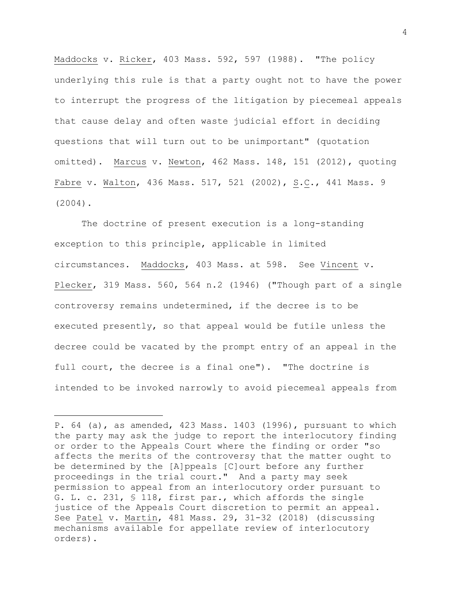Maddocks v. Ricker, 403 Mass. 592, 597 (1988). "The policy underlying this rule is that a party ought not to have the power to interrupt the progress of the litigation by piecemeal appeals that cause delay and often waste judicial effort in deciding questions that will turn out to be unimportant" (quotation omitted). Marcus v. Newton, 462 Mass. 148, 151 (2012), quoting Fabre v. Walton, 436 Mass. 517, 521 (2002), S.C., 441 Mass. 9 (2004).

The doctrine of present execution is a long-standing exception to this principle, applicable in limited circumstances. Maddocks, 403 Mass. at 598. See Vincent v. Plecker, 319 Mass. 560, 564 n.2 (1946) ("Though part of a single controversy remains undetermined, if the decree is to be executed presently, so that appeal would be futile unless the decree could be vacated by the prompt entry of an appeal in the full court, the decree is a final one"). "The doctrine is intended to be invoked narrowly to avoid piecemeal appeals from

P. 64 (a), as amended, 423 Mass. 1403 (1996), pursuant to which the party may ask the judge to report the interlocutory finding or order to the Appeals Court where the finding or order "so affects the merits of the controversy that the matter ought to be determined by the [A]ppeals [C]ourt before any further proceedings in the trial court." And a party may seek permission to appeal from an interlocutory order pursuant to G. L. c. 231, § 118, first par., which affords the single justice of the Appeals Court discretion to permit an appeal. See Patel v. Martin, 481 Mass. 29, 31-32 (2018) (discussing mechanisms available for appellate review of interlocutory orders).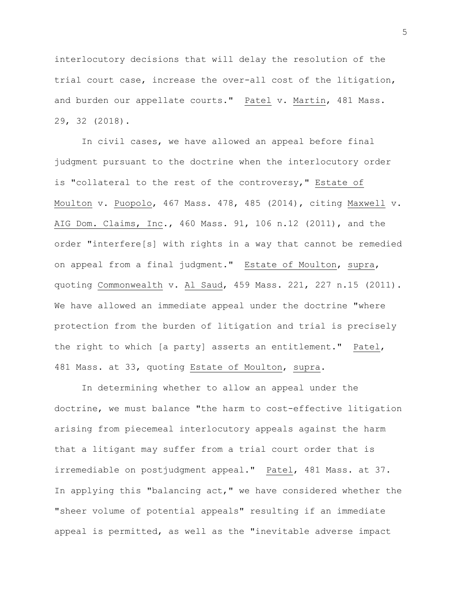interlocutory decisions that will delay the resolution of the trial court case, increase the over-all cost of the litigation, and burden our appellate courts." Patel v. Martin, 481 Mass. 29, 32 (2018).

In civil cases, we have allowed an appeal before final judgment pursuant to the doctrine when the interlocutory order is "collateral to the rest of the controversy," Estate of Moulton v. Puopolo, 467 Mass. 478, 485 (2014), citing Maxwell v. AIG Dom. Claims, Inc., 460 Mass. 91, 106 n.12 (2011), and the order "interfere[s] with rights in a way that cannot be remedied on appeal from a final judgment." Estate of Moulton, supra, quoting Commonwealth v. Al Saud, 459 Mass. 221, 227 n.15 (2011). We have allowed an immediate appeal under the doctrine "where protection from the burden of litigation and trial is precisely the right to which [a party] asserts an entitlement." Patel, 481 Mass. at 33, quoting Estate of Moulton, supra.

In determining whether to allow an appeal under the doctrine, we must balance "the harm to cost-effective litigation arising from piecemeal interlocutory appeals against the harm that a litigant may suffer from a trial court order that is irremediable on postjudgment appeal." Patel, 481 Mass. at 37. In applying this "balancing act," we have considered whether the "sheer volume of potential appeals" resulting if an immediate appeal is permitted, as well as the "inevitable adverse impact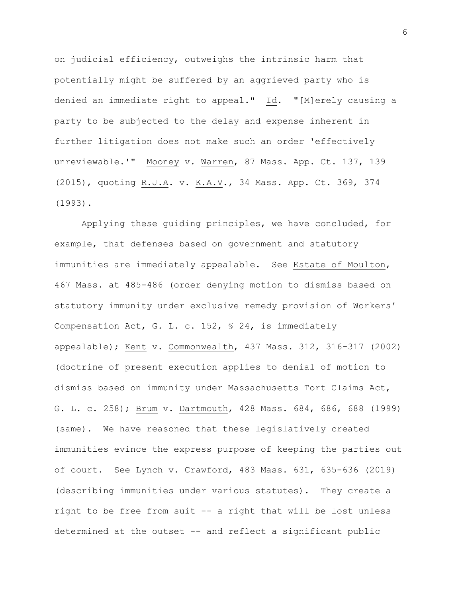on judicial efficiency, outweighs the intrinsic harm that potentially might be suffered by an aggrieved party who is denied an immediate right to appeal." Id. "[M]erely causing a party to be subjected to the delay and expense inherent in further litigation does not make such an order 'effectively unreviewable.'" Mooney v. Warren, 87 Mass. App. Ct. 137, 139 (2015), quoting R.J.A. v. K.A.V., 34 Mass. App. Ct. 369, 374 (1993).

Applying these guiding principles, we have concluded, for example, that defenses based on government and statutory immunities are immediately appealable. See Estate of Moulton, 467 Mass. at 485-486 (order denying motion to dismiss based on statutory immunity under exclusive remedy provision of Workers' Compensation Act, G. L. c. 152, § 24, is immediately appealable); Kent v. Commonwealth, 437 Mass. 312, 316-317 (2002) (doctrine of present execution applies to denial of motion to dismiss based on immunity under Massachusetts Tort Claims Act, G. L. c. 258); Brum v. Dartmouth, 428 Mass. 684, 686, 688 (1999) (same). We have reasoned that these legislatively created immunities evince the express purpose of keeping the parties out of court. See Lynch v. Crawford, 483 Mass. 631, 635-636 (2019) (describing immunities under various statutes). They create a right to be free from suit -- a right that will be lost unless determined at the outset -- and reflect a significant public

6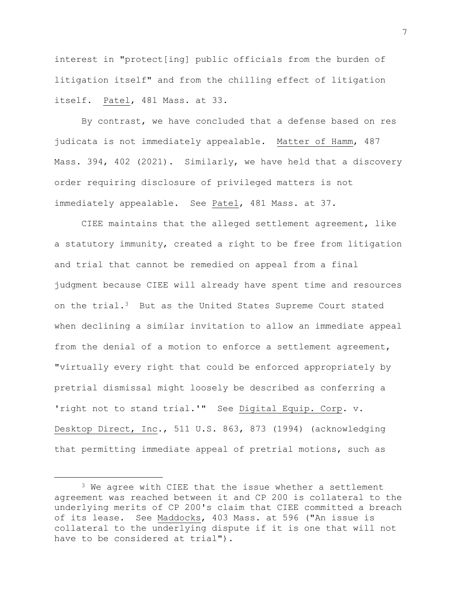interest in "protect[ing] public officials from the burden of litigation itself" and from the chilling effect of litigation itself. Patel, 481 Mass. at 33.

By contrast, we have concluded that a defense based on res judicata is not immediately appealable. Matter of Hamm, 487 Mass. 394, 402 (2021). Similarly, we have held that a discovery order requiring disclosure of privileged matters is not immediately appealable. See Patel, 481 Mass. at 37.

CIEE maintains that the alleged settlement agreement, like a statutory immunity, created a right to be free from litigation and trial that cannot be remedied on appeal from a final judgment because CIEE will already have spent time and resources on the trial.3 But as the United States Supreme Court stated when declining a similar invitation to allow an immediate appeal from the denial of a motion to enforce a settlement agreement, "virtually every right that could be enforced appropriately by pretrial dismissal might loosely be described as conferring a 'right not to stand trial.'" See Digital Equip. Corp. v. Desktop Direct, Inc., 511 U.S. 863, 873 (1994) (acknowledging that permitting immediate appeal of pretrial motions, such as

<sup>&</sup>lt;sup>3</sup> We agree with CIEE that the issue whether a settlement agreement was reached between it and CP 200 is collateral to the underlying merits of CP 200's claim that CIEE committed a breach of its lease. See Maddocks, 403 Mass. at 596 ("An issue is collateral to the underlying dispute if it is one that will not have to be considered at trial").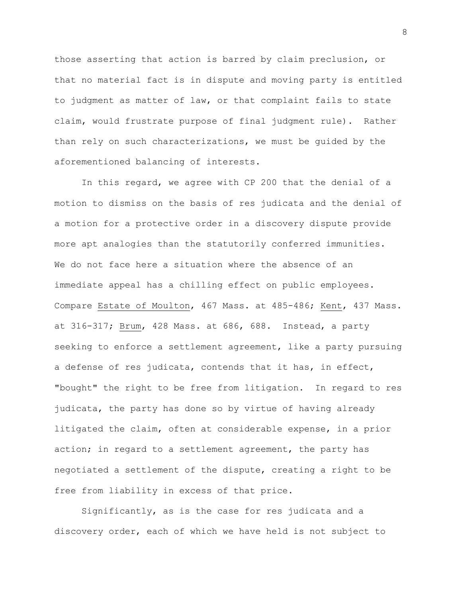those asserting that action is barred by claim preclusion, or that no material fact is in dispute and moving party is entitled to judgment as matter of law, or that complaint fails to state claim, would frustrate purpose of final judgment rule). Rather than rely on such characterizations, we must be guided by the aforementioned balancing of interests.

In this regard, we agree with CP 200 that the denial of a motion to dismiss on the basis of res judicata and the denial of a motion for a protective order in a discovery dispute provide more apt analogies than the statutorily conferred immunities. We do not face here a situation where the absence of an immediate appeal has a chilling effect on public employees. Compare Estate of Moulton, 467 Mass. at 485-486; Kent, 437 Mass. at 316-317; Brum, 428 Mass. at 686, 688. Instead, a party seeking to enforce a settlement agreement, like a party pursuing a defense of res judicata, contends that it has, in effect, "bought" the right to be free from litigation. In regard to res judicata, the party has done so by virtue of having already litigated the claim, often at considerable expense, in a prior action; in regard to a settlement agreement, the party has negotiated a settlement of the dispute, creating a right to be free from liability in excess of that price.

Significantly, as is the case for res judicata and a discovery order, each of which we have held is not subject to 8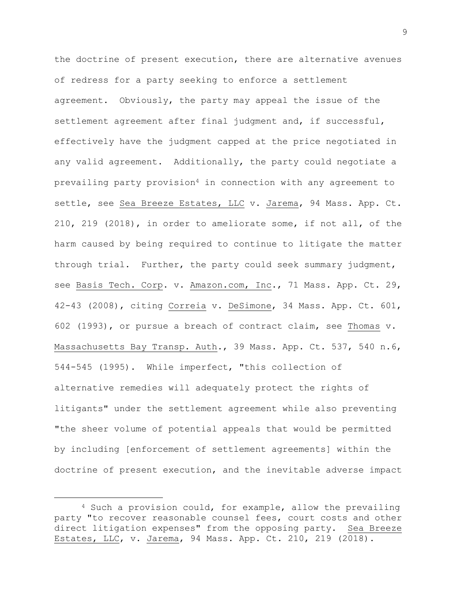the doctrine of present execution, there are alternative avenues of redress for a party seeking to enforce a settlement agreement. Obviously, the party may appeal the issue of the settlement agreement after final judgment and, if successful, effectively have the judgment capped at the price negotiated in any valid agreement. Additionally, the party could negotiate a prevailing party provision<sup>4</sup> in connection with any agreement to settle, see Sea Breeze Estates, LLC v. Jarema, 94 Mass. App. Ct. 210, 219 (2018), in order to ameliorate some, if not all, of the harm caused by being required to continue to litigate the matter through trial. Further, the party could seek summary judgment, see Basis Tech. Corp. v. Amazon.com, Inc., 71 Mass. App. Ct. 29, 42-43 (2008), citing Correia v. DeSimone, 34 Mass. App. Ct. 601, 602 (1993), or pursue a breach of contract claim, see Thomas v. Massachusetts Bay Transp. Auth., 39 Mass. App. Ct. 537, 540 n.6, 544-545 (1995). While imperfect, "this collection of alternative remedies will adequately protect the rights of litigants" under the settlement agreement while also preventing "the sheer volume of potential appeals that would be permitted by including [enforcement of settlement agreements] within the doctrine of present execution, and the inevitable adverse impact

<sup>4</sup> Such a provision could, for example, allow the prevailing party "to recover reasonable counsel fees, court costs and other direct litigation expenses" from the opposing party. Sea Breeze Estates, LLC, v. Jarema, 94 Mass. App. Ct. 210, 219 (2018).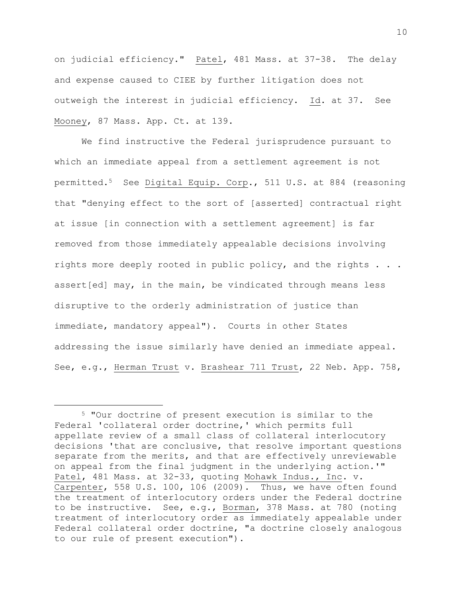on judicial efficiency." Patel, 481 Mass. at 37-38. The delay and expense caused to CIEE by further litigation does not outweigh the interest in judicial efficiency. Id. at 37. See Mooney, 87 Mass. App. Ct. at 139.

We find instructive the Federal jurisprudence pursuant to which an immediate appeal from a settlement agreement is not permitted.5 See Digital Equip. Corp., 511 U.S. at 884 (reasoning that "denying effect to the sort of [asserted] contractual right at issue [in connection with a settlement agreement] is far removed from those immediately appealable decisions involving rights more deeply rooted in public policy, and the rights . . . assert[ed] may, in the main, be vindicated through means less disruptive to the orderly administration of justice than immediate, mandatory appeal"). Courts in other States addressing the issue similarly have denied an immediate appeal. See, e.g., Herman Trust v. Brashear 711 Trust, 22 Neb. App. 758,

<sup>5</sup> "Our doctrine of present execution is similar to the Federal 'collateral order doctrine,' which permits full appellate review of a small class of collateral interlocutory decisions 'that are conclusive, that resolve important questions separate from the merits, and that are effectively unreviewable on appeal from the final judgment in the underlying action.'" Patel, 481 Mass. at 32-33, quoting Mohawk Indus., Inc. v. Carpenter, 558 U.S. 100, 106 (2009). Thus, we have often found the treatment of interlocutory orders under the Federal doctrine to be instructive. See, e.g., Borman, 378 Mass. at 780 (noting treatment of interlocutory order as immediately appealable under Federal collateral order doctrine, "a doctrine closely analogous to our rule of present execution").